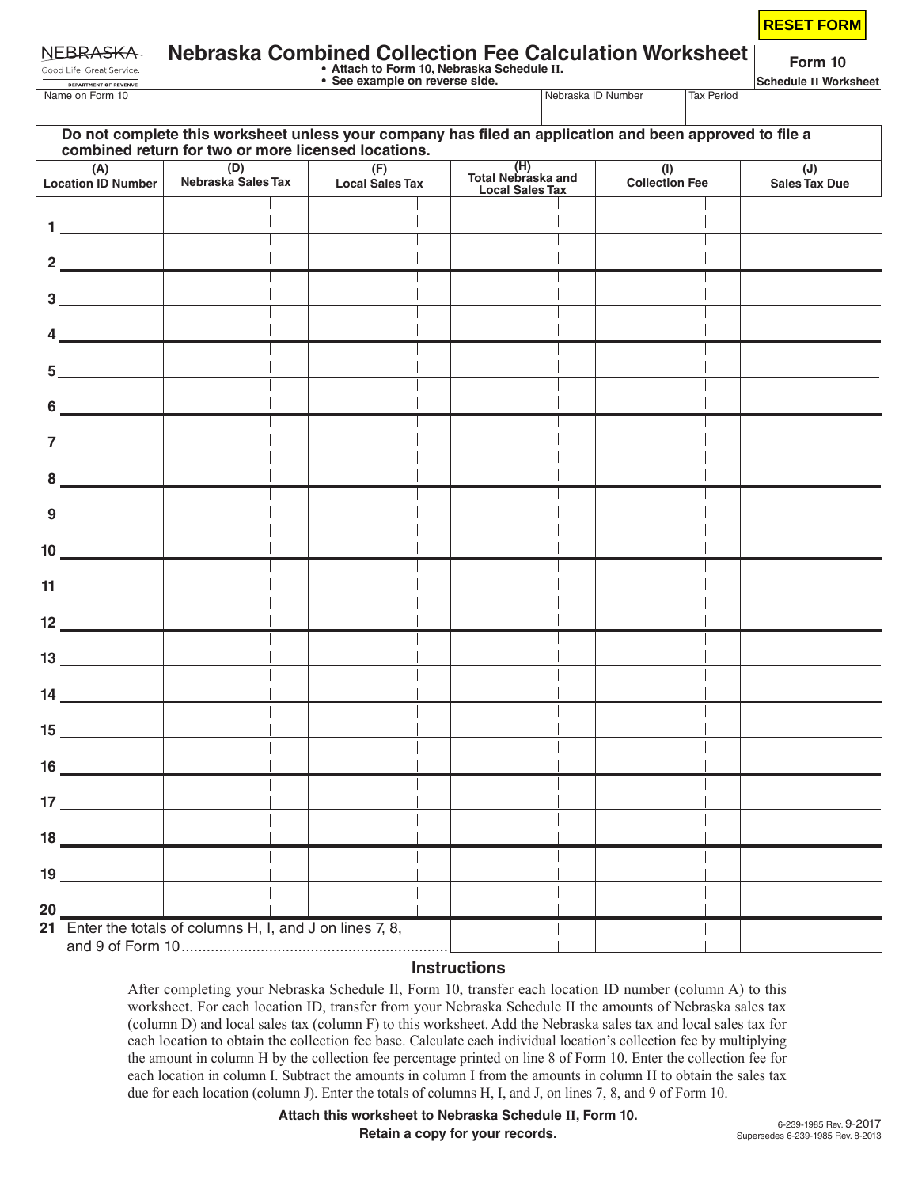**RESET FORM**

|  |                                            | Nebraska Combined Collection Fee Calculation Worksheet |  |
|--|--------------------------------------------|--------------------------------------------------------|--|
|  | • Attach to Form 10. Nebraska Schedule II. |                                                        |  |

**• Attach to Form 10, Nebraska Schedule II. • See example on reverse side.**

Name on Form 10 Tax Period Contract Contract Contract Contract Contract Contract Contract Contract Contract Contract Contract Contract Contract Contract Contract Contract Contract Contract Contract Contract Contract Contra

**Form 10**

**Schedule II Worksheet**

| Do not complete this worksheet unless your company has filed an application and been approved to file a<br>combined return for two or more licensed locations.                                                                                                                                                                                                                            |                                                           |                               |                                                            |                              |                             |  |  |  |  |  |  |
|-------------------------------------------------------------------------------------------------------------------------------------------------------------------------------------------------------------------------------------------------------------------------------------------------------------------------------------------------------------------------------------------|-----------------------------------------------------------|-------------------------------|------------------------------------------------------------|------------------------------|-----------------------------|--|--|--|--|--|--|
| (A)<br><b>Location ID Number</b>                                                                                                                                                                                                                                                                                                                                                          | (D)<br>Nebraska Sales Tax                                 | (F)<br><b>Local Sales Tax</b> | (H)<br><b>Total Nebraska and</b><br><b>Local Sales Tax</b> | (1)<br><b>Collection Fee</b> | (J)<br><b>Sales Tax Due</b> |  |  |  |  |  |  |
| $1 \underline{\hspace{1cm}}$                                                                                                                                                                                                                                                                                                                                                              |                                                           |                               |                                                            |                              |                             |  |  |  |  |  |  |
| $2 \overline{\phantom{a} \phantom{a} \phantom{a}}$                                                                                                                                                                                                                                                                                                                                        |                                                           |                               |                                                            |                              |                             |  |  |  |  |  |  |
| 3 <sup>1</sup>                                                                                                                                                                                                                                                                                                                                                                            |                                                           |                               |                                                            |                              |                             |  |  |  |  |  |  |
| $4 \frac{1}{2}$                                                                                                                                                                                                                                                                                                                                                                           |                                                           |                               |                                                            |                              |                             |  |  |  |  |  |  |
| 5                                                                                                                                                                                                                                                                                                                                                                                         |                                                           |                               |                                                            |                              |                             |  |  |  |  |  |  |
| $6 \overline{\qquad \qquad }$                                                                                                                                                                                                                                                                                                                                                             |                                                           |                               |                                                            |                              |                             |  |  |  |  |  |  |
| $\begin{array}{c c c c} \hline \rule{0pt}{16pt} & \rule{0pt}{2.5ex} & \rule{0pt}{2.5ex} & \rule{0pt}{2.5ex} & \rule{0pt}{2.5ex} & \rule{0pt}{2.5ex} & \rule{0pt}{2.5ex} & \rule{0pt}{2.5ex} & \rule{0pt}{2.5ex} & \rule{0pt}{2.5ex} & \rule{0pt}{2.5ex} & \rule{0pt}{2.5ex} & \rule{0pt}{2.5ex} & \rule{0pt}{2.5ex} & \rule{0pt}{2.5ex} & \rule{0pt}{2.5ex} & \rule{0pt}{2.5ex} & \$      |                                                           |                               |                                                            |                              |                             |  |  |  |  |  |  |
|                                                                                                                                                                                                                                                                                                                                                                                           |                                                           |                               |                                                            |                              |                             |  |  |  |  |  |  |
| $9 \underline{\hspace{1.5cm}}$                                                                                                                                                                                                                                                                                                                                                            |                                                           |                               |                                                            |                              |                             |  |  |  |  |  |  |
| $10 \underline{\hspace{1.5cm}}$                                                                                                                                                                                                                                                                                                                                                           |                                                           |                               |                                                            |                              |                             |  |  |  |  |  |  |
|                                                                                                                                                                                                                                                                                                                                                                                           |                                                           |                               |                                                            |                              |                             |  |  |  |  |  |  |
|                                                                                                                                                                                                                                                                                                                                                                                           |                                                           |                               |                                                            |                              |                             |  |  |  |  |  |  |
|                                                                                                                                                                                                                                                                                                                                                                                           |                                                           |                               |                                                            |                              |                             |  |  |  |  |  |  |
|                                                                                                                                                                                                                                                                                                                                                                                           |                                                           |                               |                                                            |                              |                             |  |  |  |  |  |  |
| $\begin{array}{c c c c} \hline \rule{0pt}{16pt} \textbf{15} & \rule{0pt}{2.5pt} \textbf{16} & \rule{0pt}{2.5pt} \textbf{17} & \rule{0pt}{2.5pt} \textbf{18} & \rule{0pt}{2.5pt} \textbf{19} & \rule{0pt}{2.5pt} \textbf{19} & \rule{0pt}{2.5pt} \textbf{10} & \rule{0pt}{2.5pt} \textbf{10} & \rule{0pt}{2.5pt} \textbf{11} & \rule{0pt}{2.5pt} \textbf{12} & \rule{0pt}{2.5pt} \textbf{$ |                                                           |                               |                                                            |                              |                             |  |  |  |  |  |  |
| $16 \underline{\hspace{1.5cm}}$                                                                                                                                                                                                                                                                                                                                                           |                                                           |                               |                                                            |                              |                             |  |  |  |  |  |  |
| $17 \quad \overline{\phantom{1}}$                                                                                                                                                                                                                                                                                                                                                         |                                                           |                               |                                                            |                              |                             |  |  |  |  |  |  |
|                                                                                                                                                                                                                                                                                                                                                                                           |                                                           |                               |                                                            |                              |                             |  |  |  |  |  |  |
|                                                                                                                                                                                                                                                                                                                                                                                           |                                                           |                               |                                                            |                              |                             |  |  |  |  |  |  |
| $20$ $-$                                                                                                                                                                                                                                                                                                                                                                                  |                                                           |                               |                                                            |                              |                             |  |  |  |  |  |  |
|                                                                                                                                                                                                                                                                                                                                                                                           | 21 Enter the totals of columns H, I, and J on lines 7, 8, |                               |                                                            |                              |                             |  |  |  |  |  |  |

## **Instructions**

After completing your Nebraska Schedule II, Form 10, transfer each location ID number (column A) to this worksheet. For each location ID, transfer from your Nebraska Schedule II the amounts of Nebraska sales tax (column D) and local sales tax (column F) to this worksheet. Add the Nebraska sales tax and local sales tax for each location to obtain the collection fee base. Calculate each individual location's collection fee by multiplying the amount in column H by the collection fee percentage printed on line 8 of Form 10. Enter the collection fee for each location in column I. Subtract the amounts in column I from the amounts in column H to obtain the sales tax due for each location (column J). Enter the totals of columns H, I, and J, on lines 7, 8, and 9 of Form 10.

> **Attach this worksheet to Nebraska Schedule II, Form 10. Retain a copy for your records. Retain a copy for your records.** Supersedes 6-239-1985 Rev. 9-2017